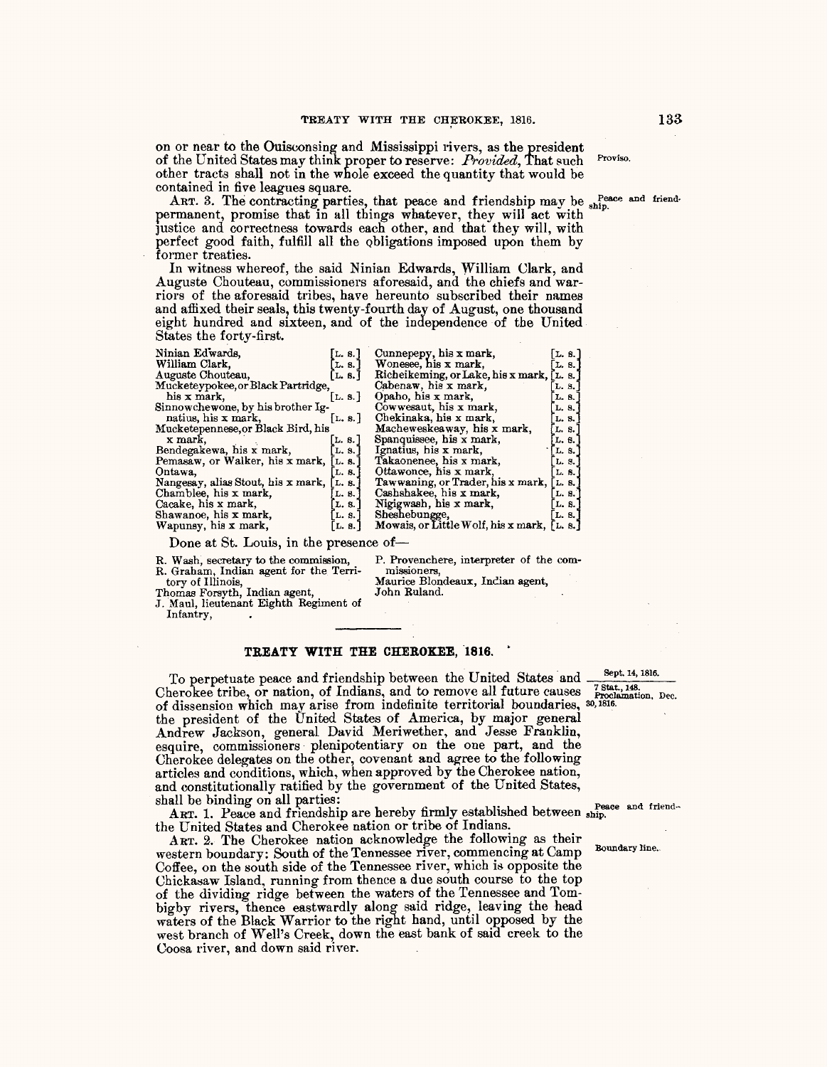on or near to the Ouisconsing and Mississippi rivers, as the president of the United States may think proper to reserve: *Provided,* That such Proviso. other tracts shall not in the whole exceed the quantity that would be contained in five leagues square.

ART. 3. The contracting parties, that peace and friendship may be ship. permanent, promise that in all things whatever, they will act with justice and correctness towards each other, and that they will, with perfect good faith, fulfill all the obligations imposed upon them by former treaties.<br>In witness whereof, the said Ninian Edwards, William Clark, and

Auguste Chouteau, commissioners aforesaid, and the chiefs and warriors of the aforesaid tribes, have hereunto subscribed their names and affixed their seals, this twenty-fourth day of August, one thousand eight hundred and sixteen, and of the independence of the United States the forty-first.

| Ninian Edwards.                    | L. 8.                | Cunnepepy, his x mark,                      | L. 8.] |  |
|------------------------------------|----------------------|---------------------------------------------|--------|--|
| William Clark.                     | L. S.                | Wonesee, his x mark,                        | L. 8.  |  |
| Auguste Chouteau,                  | L. 8.                | Richeikeming, or Lake, his x mark, [L. s.]  |        |  |
| Mucketeypokee, or Black Partridge, | Cabenaw, his x mark, | L. S.                                       |        |  |
| his x mark.                        | [L. 8.]              | Opaho, his x mark,                          | L. S.  |  |
| Sinnowchewone, by his brother Ig-  |                      | Cowwesaut, his x mark,                      | L. 8.  |  |
| natius, his x mark,                | [L. 8.]              | Chekinaka, his x mark,                      | L. 8.  |  |
| Mucketepennese, or Black Bird, his |                      | Macheweskeaway, his x mark,                 | L. S.  |  |
| x mark,                            | L.8.                 | Spanquissee, his x mark,                    | L. 6.  |  |
| Bendegakewa, his x mark,           | L. S.                | Ignatius, his x mark,                       | L. S.  |  |
| Pemasaw, or Walker, his x mark,    | L. 8.                | Takaonenee, his x mark,                     | L. S.  |  |
| Ontawa.                            | L. S.                | Ottawonce, his x mark,                      | L. 8.  |  |
| Nangesay, alias Stout, his x mark, | L. 8.                | Tawwaning, or Trader, his x mark,           | L. 8.  |  |
| Chamblee, his x mark.              | L. 8.                | Cashshakee, his x mark,                     | L. 8.  |  |
| Cacake, his x mark,                | L. S.                | Nigigwash, his x mark,                      | L. S.  |  |
| Shawanoe, his x mark,              | L. S.                | Sheshebungge,                               | L. 8.  |  |
| Wapunsy, his x mark,               | L. 8.                | Mowais, or Little Wolf, his x mark, [L. s.] |        |  |
|                                    |                      |                                             |        |  |

Done at St. Louis, in the presence of-

R. Wash, secretary to the commission, R. Graham, Indian agent for the Terri-

tory of Illinois,

Thomas Forsyth, Indian agent, J. Maul, lieutenant Eighth Regiment of Infantry,

P. Provenchere, interpreter of the com-<br>missioners,

Maurice Blondeaux, Indian agent,<br>John Ruland.

## **TREATY WITH THE CHEROKEE, '1816.** •

To perpetuate peace and friendship between the United States and  $\frac{\text{Sept. 14, 1816}}{7 \text{ Stat. 148}}$ Cherokee tribe, or nation, of Indians, and to remove all future causes Proclamation, Dec. of dissension which may arise from indefinite territorial boundaries, 30,1816. the president of the United States of America, by major general Andrew Jackson, general David Meriwether, and Jesse Franklin, esquire, commissioners· plenipotentiary on the one part, and the Cherokee delegates on the other, covenant and agree to the following articles and conditions, which, when approved by the Cherokee nation, and constitutionally ratified by the government of the United States, shall be binding on all parties: shall be binding on all parties:  $P_{\text{peac}}$ 

ART. 1. Peace and friendship are hereby firmly established between  $s_{\text{min}}^{\text{reage}}$  and friend... the United States and Cherokee nation or tribe of Indians.

ART. 2. The Cherokee nation acknowledge the following as their western boundary: South of the Tennessee river, commencing at Camp Boundary line. Coffee, on the south side of the Tennessee river, which is opposite the Chickasaw Island, running from thence a due south course to the top of the dividing ridge between the waters of the Tennessee and Tombigby rivers, thence eastwardly along said ridge, leaving the head waters of the Black Warrior to the right hand, until opposed by the west branch of Well's Creek, down the east bank of said creek to the Coosa river, and down said river.